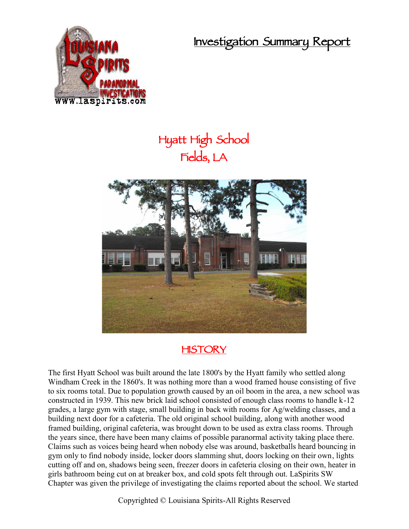**Investigation Summary Report**



## **Hyatt High School Fields, LA**



## **HISTORY**

The first Hyatt School was built around the late 1800's by the Hyatt family who settled along Windham Creek in the 1860's. It was nothing more than a wood framed house consisting of five to six rooms total. Due to population growth caused by an oil boom in the area, a new school was constructed in 1939. This new brick laid school consisted of enough class rooms to handle k-12 grades, a large gym with stage, small building in back with rooms for Ag/welding classes, and a building next door for a cafeteria. The old original school building, along with another wood framed building, original cafeteria, was brought down to be used as extra class rooms. Through the years since, there have been many claims of possible paranormal activity taking place there. Claims such as voices being heard when nobody else was around, basketballs heard bouncing in gym only to find nobody inside, locker doors slamming shut, doors locking on their own, lights cutting off and on, shadows being seen, freezer doors in cafeteria closing on their own, heater in girls bathroom being cut on at breaker box, and cold spots felt through out. LaSpirits SW Chapter was given the privilege of investigating the claims reported about the school. We started

Copyrighted © Louisiana Spirits-All Rights Reserved